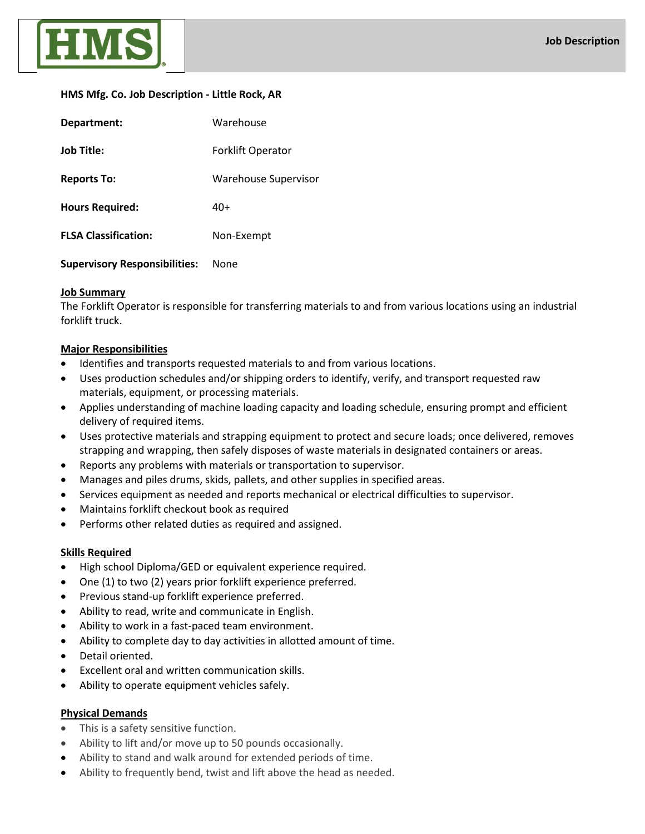

### **HMS Mfg. Co. Job Description - Little Rock, AR**

| Department:                          | Warehouse                |  |
|--------------------------------------|--------------------------|--|
| <b>Job Title:</b>                    | <b>Forklift Operator</b> |  |
| <b>Reports To:</b>                   | Warehouse Supervisor     |  |
| <b>Hours Required:</b>               | 40+                      |  |
| <b>FLSA Classification:</b>          | Non-Exempt               |  |
| <b>Supervisory Responsibilities:</b> | None                     |  |

# **Job Summary**

The Forklift Operator is responsible for transferring materials to and from various locations using an industrial forklift truck.

# **Major Responsibilities**

- Identifies and transports requested materials to and from various locations.
- Uses production schedules and/or shipping orders to identify, verify, and transport requested raw materials, equipment, or processing materials.
- Applies understanding of machine loading capacity and loading schedule, ensuring prompt and efficient delivery of required items.
- Uses protective materials and strapping equipment to protect and secure loads; once delivered, removes strapping and wrapping, then safely disposes of waste materials in designated containers or areas.
- Reports any problems with materials or transportation to supervisor.
- Manages and piles drums, skids, pallets, and other supplies in specified areas.
- Services equipment as needed and reports mechanical or electrical difficulties to supervisor.
- Maintains forklift checkout book as required
- Performs other related duties as required and assigned.

# **Skills Required**

- High school Diploma/GED or equivalent experience required.
- One (1) to two (2) years prior forklift experience preferred.
- Previous stand-up forklift experience preferred.
- Ability to read, write and communicate in English.
- Ability to work in a fast-paced team environment.
- Ability to complete day to day activities in allotted amount of time.
- Detail oriented.
- Excellent oral and written communication skills.
- Ability to operate equipment vehicles safely.

### **Physical Demands**

- This is a safety sensitive function.
- Ability to lift and/or move up to 50 pounds occasionally.
- Ability to stand and walk around for extended periods of time.
- Ability to frequently bend, twist and lift above the head as needed.